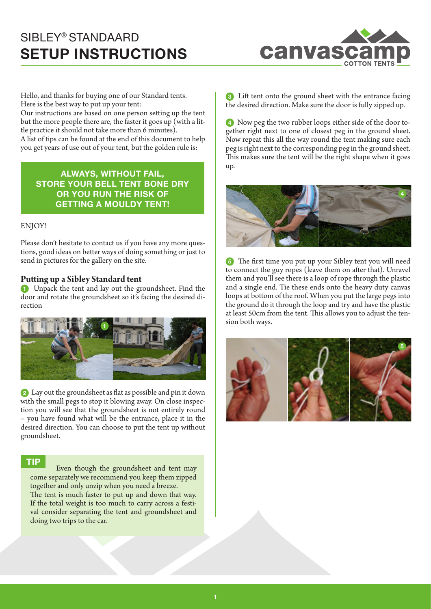

Hello, and thanks for buying one of our Standard tents. Here is the best way to put up your tent:

Our instructions are based on one person setting up the tent but the more people there are, the faster it goes up (with a little practice it should not take more than 6 minutes). A list of tips can be found at the end of this document to help you get years of use out of your tent, but the golden rule is:

**ALWAYS, WITHOUT FAIL, STORE YOUR BELL TENT BONE DRY OR YOU RUN THE RISK OF GETTING A MOULDY TENT!** 

### ENJOY!

Please don't hesitate to contact us if you have any more questions, good ideas on better ways of doing something or just to send in pictures for the gallery on the site.

## **Putting up a Sibley Standard tent**

**1** Unpack the tent and lay out the groundsheet. Find the door and rotate the groundsheet so it's facing the desired direction



**2** Lay out the groundsheet as flat as possible and pin it down with the small pegs to stop it blowing away. On close inspection you will see that the groundsheet is not entirely round – you have found what will be the entrance, place it in the desired direction. You can choose to put the tent up without groundsheet.

### **TIP**

Even though the groundsheet and tent may come separately we recommend you keep them zipped together and only unzip when you need a breeze. The tent is much faster to put up and down that way. If the total weight is too much to carry across a festival consider separating the tent and groundsheet and doing two trips to the car.

**3** Lift tent onto the ground sheet with the entrance facing the desired direction. Make sure the door is fully zipped up.

**4** Now peg the two rubber loops either side of the door together right next to one of closest peg in the ground sheet. Now repeat this all the way round the tent making sure each peg is right next to the corresponding peg in the ground sheet. This makes sure the tent will be the right shape when it goes up.



**5** The first time you put up your Sibley tent you will need to connect the guy ropes (leave them on after that). Unravel them and you'll see there is a loop of rope through the plastic and a single end. Tie these ends onto the heavy duty canvas loops at bottom of the roof. When you put the large pegs into the ground do it through the loop and try and have the plastic at least 50cm from the tent. This allows you to adjust the tension both ways.

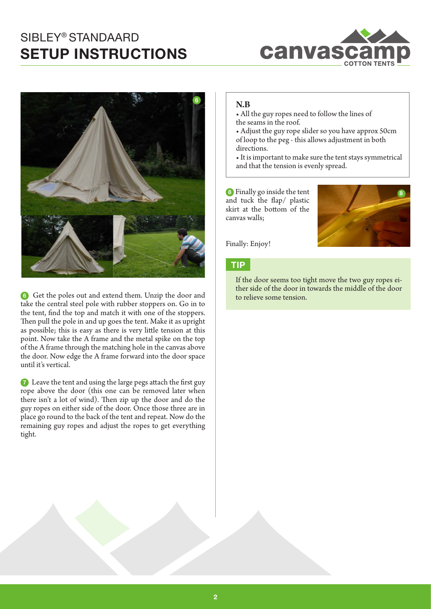



**6** Get the poles out and extend them. Unzip the door and take the central steel pole with rubber stoppers on. Go in to the tent, find the top and match it with one of the stoppers. Then pull the pole in and up goes the tent. Make it as upright as possible; this is easy as there is very little tension at this point. Now take the A frame and the metal spike on the top of the A frame through the matching hole in the canvas above the door. Now edge the A frame forward into the door space until it's vertical.

**7** Leave the tent and using the large pegs attach the first guy rope above the door (this one can be removed later when there isn't a lot of wind). Then zip up the door and do the guy ropes on either side of the door. Once those three are in place go round to the back of the tent and repeat. Now do the remaining guy ropes and adjust the ropes to get everything tight.

## **N.B**

- All the guy ropes need to follow the lines of the seams in the roof.
- Adjust the guy rope slider so you have approx 50cm of loop to the peg - this allows adjustment in both directions.
- It is important to make sure the tent stays symmetrical and that the tension is evenly spread.

**8** Finally go inside the tent and tuck the flap/ plastic skirt at the bottom of the canvas walls;



Finally: Enjoy!

## **TIP**

If the door seems too tight move the two guy ropes either side of the door in towards the middle of the door to relieve some tension.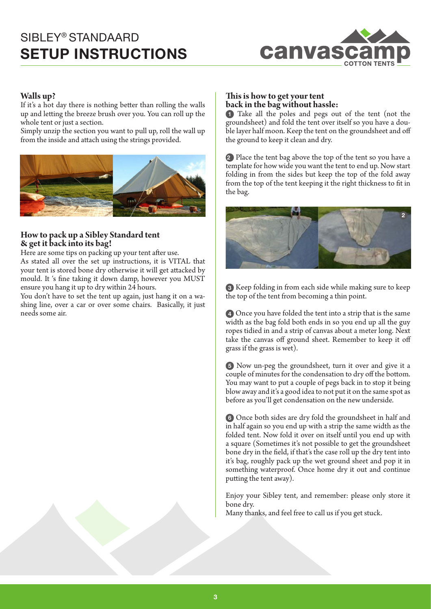

## **Walls up?**

If it's a hot day there is nothing better than rolling the walls up and letting the breeze brush over you. You can roll up the whole tent or just a section.

Simply unzip the section you want to pull up, roll the wall up from the inside and attach using the strings provided.



## **How to pack up a Sibley Standard tent & get it back into its bag!**

Here are some tips on packing up your tent after use.

As stated all over the set up instructions, it is VITAL that your tent is stored bone dry otherwise it will get attacked by mould. It 's fine taking it down damp, however you MUST ensure you hang it up to dry within 24 hours.

You don't have to set the tent up again, just hang it on a washing line, over a car or over some chairs. Basically, it just needs some air.

## **This is how to get your tent back in the bag without hassle:**

**1** Take all the poles and pegs out of the tent (not the groundsheet) and fold the tent over itself so you have a double layer half moon. Keep the tent on the groundsheet and off the ground to keep it clean and dry.

**2** Place the tent bag above the top of the tent so you have a template for how wide you want the tent to end up. Now start folding in from the sides but keep the top of the fold away from the top of the tent keeping it the right thickness to fit in the bag.



**3** Keep folding in from each side while making sure to keep the top of the tent from becoming a thin point.

**4** Once you have folded the tent into a strip that is the same width as the bag fold both ends in so you end up all the guy ropes tidied in and a strip of canvas about a meter long. Next take the canvas off ground sheet. Remember to keep it off grass if the grass is wet).

**5** Now un-peg the groundsheet, turn it over and give it a couple of minutes for the condensation to dry off the bottom. You may want to put a couple of pegs back in to stop it being blow away and it's a good idea to not put it on the same spot as before as you'll get condensation on the new underside.

**6** Once both sides are dry fold the groundsheet in half and in half again so you end up with a strip the same width as the folded tent. Now fold it over on itself until you end up with a square (Sometimes it's not possible to get the groundsheet bone dry in the field, if that's the case roll up the dry tent into it's bag, roughly pack up the wet ground sheet and pop it in something waterproof. Once home dry it out and continue putting the tent away).

Enjoy your Sibley tent, and remember: please only store it bone dry.

Many thanks, and feel free to call us if you get stuck.